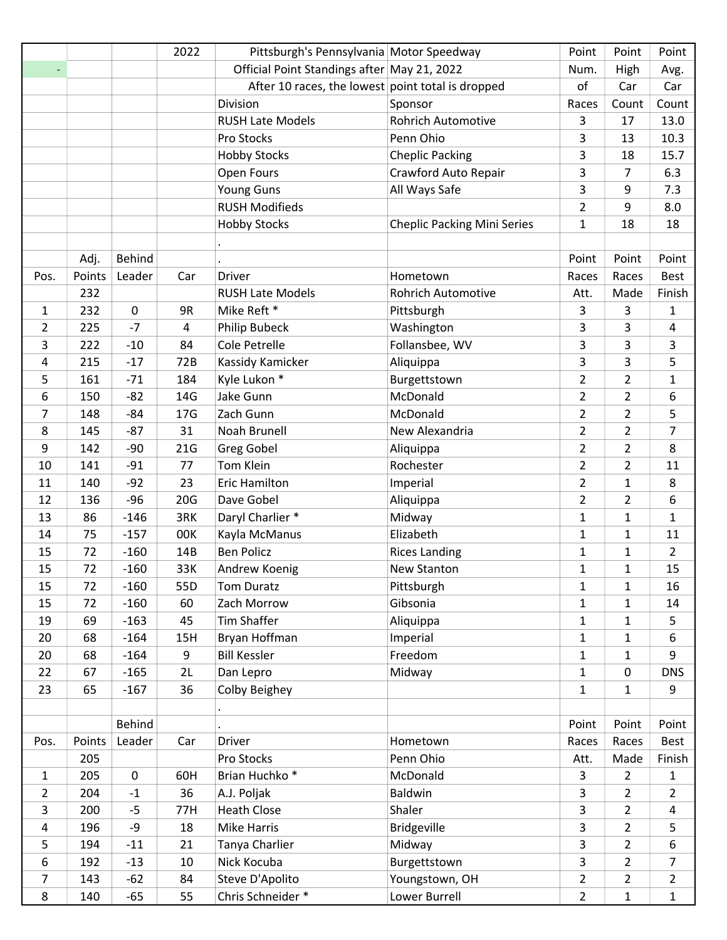|                |        |                  | 2022            | Pittsburgh's Pennsylvania Motor Speedway          |                                    | Point          | Point          | Point          |
|----------------|--------|------------------|-----------------|---------------------------------------------------|------------------------------------|----------------|----------------|----------------|
|                |        |                  |                 | Official Point Standings after May 21, 2022       |                                    | Num.           | High           | Avg.           |
|                |        |                  |                 | After 10 races, the lowest point total is dropped |                                    | of             | Car            | Car            |
|                |        |                  |                 | Division                                          | Sponsor                            | Races          | Count          | Count          |
|                |        |                  |                 | <b>RUSH Late Models</b>                           | <b>Rohrich Automotive</b>          | 3              | 17             | 13.0           |
|                |        |                  |                 | Pro Stocks                                        | Penn Ohio                          | 3              | 13             | 10.3           |
|                |        |                  |                 | <b>Hobby Stocks</b>                               | <b>Cheplic Packing</b>             | 3              | 18             | 15.7           |
|                |        |                  |                 | Open Fours                                        | Crawford Auto Repair               | 3              | 7              | 6.3            |
|                |        |                  |                 | <b>Young Guns</b>                                 | All Ways Safe                      | 3              | 9              | 7.3            |
|                |        |                  |                 | <b>RUSH Modifieds</b>                             |                                    | $\overline{2}$ | 9              | 8.0            |
|                |        |                  |                 | <b>Hobby Stocks</b>                               | <b>Cheplic Packing Mini Series</b> | $\mathbf{1}$   | 18             | 18             |
|                |        |                  |                 |                                                   |                                    |                |                |                |
|                | Adj.   | <b>Behind</b>    |                 |                                                   |                                    | Point          | Point          | Point          |
| Pos.           | Points | Leader           | Car             | <b>Driver</b>                                     | Hometown                           | Races          | Races          | <b>Best</b>    |
|                | 232    |                  |                 | <b>RUSH Late Models</b>                           | <b>Rohrich Automotive</b>          | Att.           | Made           | Finish         |
| 1              | 232    | $\boldsymbol{0}$ | 9R              | Mike Reft *                                       | Pittsburgh                         | 3              | 3              | 1              |
| 2              | 225    | $-7$             | 4               | <b>Philip Bubeck</b>                              | Washington                         | 3              | 3              | 4              |
| 3              | 222    | $-10$            | 84              | Cole Petrelle                                     | Follansbee, WV                     | 3              | 3              | 3              |
| 4              | 215    | $-17$            | 72B             | Kassidy Kamicker                                  | Aliquippa                          | 3              | 3              | 5              |
| 5              | 161    | $-71$            | 184             | Kyle Lukon *                                      | Burgettstown                       | $\overline{2}$ | $\overline{2}$ | $\mathbf{1}$   |
| 6              | 150    | $-82$            | 14G             | Jake Gunn                                         | McDonald                           | $\overline{2}$ | $\overline{2}$ | 6              |
| 7              | 148    | $-84$            | 17 <sub>G</sub> | Zach Gunn                                         | McDonald                           | $\overline{2}$ | $\overline{2}$ | 5              |
| 8              | 145    | $-87$            | 31              | Noah Brunell                                      | New Alexandria                     | $\overline{2}$ | $\overline{2}$ | $\overline{7}$ |
| 9              | 142    | $-90$            | 21G             | <b>Greg Gobel</b>                                 | Aliquippa                          | $\overline{2}$ | $\overline{2}$ | 8              |
| 10             | 141    | $-91$            | 77              | Tom Klein                                         | Rochester                          | $\overline{2}$ | $\overline{2}$ | 11             |
| 11             | 140    | $-92$            | 23              | <b>Eric Hamilton</b>                              | Imperial                           | $\overline{2}$ | $\mathbf{1}$   | 8              |
| 12             | 136    | $-96$            | 20G             | Dave Gobel                                        | Aliquippa                          | $\overline{2}$ | $\overline{2}$ | 6              |
| 13             | 86     | $-146$           | 3RK             | Daryl Charlier *                                  | Midway                             | 1              | $\mathbf{1}$   | $\mathbf{1}$   |
| 14             | 75     | $-157$           | 00K             | Kayla McManus                                     | Elizabeth                          | $\mathbf{1}$   | $\mathbf{1}$   | 11             |
| 15             | 72     | $-160$           | 14B             | <b>Ben Policz</b>                                 | <b>Rices Landing</b>               | $\mathbf{1}$   | $\mathbf{1}$   | $\overline{2}$ |
| 15             | 72     | $-160$           | 33K             | Andrew Koenig                                     | New Stanton                        | $\mathbf{1}$   | $\mathbf{1}$   | 15             |
| 15             | 72     | $-160$           | 55D             | Tom Duratz                                        | Pittsburgh                         | $\mathbf{1}$   | $\mathbf{1}$   | 16             |
| 15             | 72     | $-160$           | 60              | Zach Morrow                                       | Gibsonia                           | $\mathbf{1}$   | $\mathbf{1}$   | 14             |
| 19             | 69     | $-163$           | 45              | <b>Tim Shaffer</b>                                | Aliquippa                          | $\mathbf{1}$   | $\mathbf{1}$   | 5              |
| 20             | 68     | $-164$           | 15H             | Bryan Hoffman                                     | Imperial                           | $\mathbf{1}$   | $\mathbf{1}$   | 6              |
| 20             | 68     | $-164$           | 9               | <b>Bill Kessler</b>                               | Freedom                            | $\mathbf{1}$   | $\mathbf{1}$   | 9              |
| 22             | 67     | $-165$           | 2L              | Dan Lepro                                         | Midway                             | $\mathbf{1}$   | 0              | <b>DNS</b>     |
| 23             | 65     | $-167$           | 36              | Colby Beighey                                     |                                    | $\mathbf{1}$   | $\mathbf{1}$   | 9              |
|                |        |                  |                 |                                                   |                                    |                |                |                |
|                |        | <b>Behind</b>    |                 |                                                   |                                    | Point          | Point          | Point          |
| Pos.           | Points | Leader           | Car             | <b>Driver</b>                                     | Hometown                           | Races          | Races          | Best           |
|                | 205    |                  |                 | Pro Stocks                                        | Penn Ohio                          | Att.           | Made           | Finish         |
| $\mathbf{1}$   | 205    | $\mathbf 0$      | 60H             | Brian Huchko <sup>*</sup>                         | McDonald                           | 3              | $\overline{2}$ | $\mathbf{1}$   |
| $\overline{2}$ | 204    | $-1$             | 36              | A.J. Poljak                                       | Baldwin                            | 3              | $\overline{2}$ | $\overline{2}$ |
| 3              | 200    | $-5$             | 77H             | <b>Heath Close</b>                                | Shaler                             | 3              | $\overline{2}$ | 4              |
| $\overline{a}$ | 196    | -9               | 18              | Mike Harris                                       | <b>Bridgeville</b>                 | 3              | $\overline{2}$ | 5              |
| 5              | 194    | $-11$            | 21              | Tanya Charlier                                    | Midway                             | 3              | $\overline{2}$ | 6              |
| 6              | 192    | $-13$            | 10              | Nick Kocuba                                       | Burgettstown                       | $\overline{3}$ | $\overline{2}$ | $\overline{7}$ |
| 7              | 143    | $-62$            | 84              | Steve D'Apolito                                   | Youngstown, OH                     | $\overline{2}$ | $\overline{2}$ | $\overline{2}$ |
| 8              | 140    | $-65$            | 55              | Chris Schneider *                                 | Lower Burrell                      | $\overline{2}$ | $\mathbf{1}$   | $\mathbf{1}$   |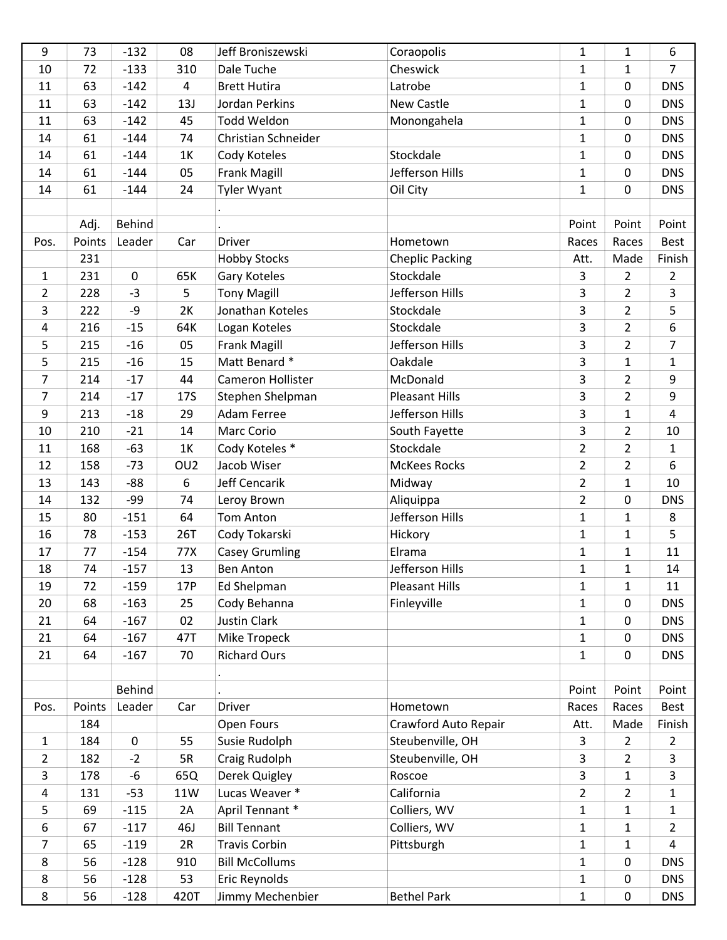| 9              | 73     | $-132$        | 08              | Jeff Broniszewski     | Coraopolis             | $\mathbf{1}$   | $\mathbf{1}$   | 6              |
|----------------|--------|---------------|-----------------|-----------------------|------------------------|----------------|----------------|----------------|
| 10             | 72     | $-133$        | 310             | Dale Tuche            | Cheswick               | $\mathbf{1}$   | $\mathbf{1}$   | $\overline{7}$ |
| 11             | 63     | $-142$        | 4               | <b>Brett Hutira</b>   | Latrobe                | $\mathbf{1}$   | 0              | <b>DNS</b>     |
| 11             | 63     | $-142$        | 13J             | Jordan Perkins        | New Castle             | $\mathbf{1}$   | $\mathbf 0$    | <b>DNS</b>     |
| 11             | 63     | $-142$        | 45              | <b>Todd Weldon</b>    | Monongahela            | $\mathbf{1}$   | $\mathbf 0$    | <b>DNS</b>     |
| 14             | 61     | $-144$        | 74              | Christian Schneider   |                        | $\mathbf{1}$   | $\mathbf 0$    | <b>DNS</b>     |
| 14             | 61     | $-144$        | 1K              | Cody Koteles          | Stockdale              | $\mathbf{1}$   | 0              | <b>DNS</b>     |
| 14             | 61     | $-144$        | 05              | Frank Magill          | Jefferson Hills        | $\mathbf 1$    | 0              | <b>DNS</b>     |
| 14             | 61     | $-144$        | 24              | <b>Tyler Wyant</b>    | Oil City               | $\mathbf{1}$   | $\mathbf 0$    | <b>DNS</b>     |
|                |        |               |                 |                       |                        |                |                |                |
|                | Adj.   | <b>Behind</b> |                 |                       |                        | Point          | Point          | Point          |
| Pos.           | Points | Leader        | Car             | <b>Driver</b>         | Hometown               | Races          | Races          | Best           |
|                | 231    |               |                 | <b>Hobby Stocks</b>   | <b>Cheplic Packing</b> | Att.           | Made           | Finish         |
| $\mathbf{1}$   | 231    | $\mathbf 0$   | 65K             | Gary Koteles          | Stockdale              | 3              | $\overline{2}$ | $\overline{2}$ |
| $\overline{2}$ | 228    | $-3$          | 5               | <b>Tony Magill</b>    | Jefferson Hills        | 3              | $\overline{2}$ | $\mathbf{3}$   |
| 3              | 222    | -9            | 2K              | Jonathan Koteles      | Stockdale              | 3              | $\overline{2}$ | 5              |
| 4              | 216    | $-15$         | 64K             | Logan Koteles         | Stockdale              | $\overline{3}$ | $\overline{2}$ | 6              |
| 5              | 215    | $-16$         | 05              | <b>Frank Magill</b>   | Jefferson Hills        | 3              | $\overline{2}$ | $\overline{7}$ |
| 5              | 215    | $-16$         | 15              | Matt Benard *         | Oakdale                | 3              | $\mathbf{1}$   | $\mathbf{1}$   |
| 7              | 214    | $-17$         | 44              | Cameron Hollister     | McDonald               | $\overline{3}$ | $\overline{2}$ | 9              |
| $\overline{7}$ | 214    | $-17$         | <b>17S</b>      | Stephen Shelpman      | <b>Pleasant Hills</b>  | 3              | $\overline{2}$ | 9              |
| 9              | 213    | $-18$         | 29              | <b>Adam Ferree</b>    | Jefferson Hills        | 3              | $\mathbf{1}$   | 4              |
| 10             | 210    | $-21$         | 14              | Marc Corio            | South Fayette          | $\overline{3}$ | $\overline{2}$ | 10             |
| 11             | 168    | $-63$         | $1K$            | Cody Koteles *        | Stockdale              | $\overline{2}$ | $\overline{2}$ | $\mathbf{1}$   |
| 12             | 158    | $-73$         | OU <sub>2</sub> | Jacob Wiser           | <b>McKees Rocks</b>    | $\overline{2}$ | $\overline{2}$ | 6              |
| 13             | 143    | $-88$         | 6               | Jeff Cencarik         | Midway                 | $\overline{2}$ | $\mathbf{1}$   | 10             |
| 14             | 132    | -99           | 74              | Leroy Brown           | Aliquippa              | $\overline{2}$ | 0              | <b>DNS</b>     |
| 15             | 80     | $-151$        | 64              | <b>Tom Anton</b>      | Jefferson Hills        | $\mathbf{1}$   | $\mathbf{1}$   | 8              |
| 16             | 78     | $-153$        | <b>26T</b>      | Cody Tokarski         | Hickory                | $\mathbf{1}$   | $\mathbf{1}$   | 5              |
| 17             | 77     | $-154$        | 77X             | <b>Casey Grumling</b> | Elrama                 | $\mathbf{1}$   | $\mathbf{1}$   | 11             |
| 18             | 74     | $-157$        | 13              | <b>Ben Anton</b>      | Jefferson Hills        | $\mathbf{1}$   | $\mathbf{1}$   | 14             |
| 19             | 72     | $-159$        | 17P             | Ed Shelpman           | <b>Pleasant Hills</b>  | $\mathbf{1}$   | $\mathbf{1}$   | 11             |
| 20             | 68     | $-163$        | 25              | Cody Behanna          | Finleyville            | $\mathbf{1}$   | $\mathbf 0$    | <b>DNS</b>     |
| 21             | 64     | $-167$        | 02              | <b>Justin Clark</b>   |                        | $\mathbf{1}$   | 0              | <b>DNS</b>     |
| 21             | 64     | $-167$        | 47T             | Mike Tropeck          |                        | $\mathbf{1}$   | 0              | <b>DNS</b>     |
| 21             | 64     | $-167$        | 70              | <b>Richard Ours</b>   |                        | $\mathbf{1}$   | $\mathbf 0$    | <b>DNS</b>     |
|                |        |               |                 |                       |                        |                |                |                |
|                |        | Behind        |                 |                       |                        | Point          | Point          | Point          |
| Pos.           | Points | Leader        | Car             | <b>Driver</b>         | Hometown               | Races          | Races          | Best           |
|                | 184    |               |                 | Open Fours            | Crawford Auto Repair   | Att.           | Made           | Finish         |
| $\mathbf{1}$   | 184    | $\pmb{0}$     | 55              | Susie Rudolph         | Steubenville, OH       | 3              | $\overline{2}$ | $\overline{2}$ |
| $\overline{2}$ | 182    | $-2$          | 5R              | Craig Rudolph         | Steubenville, OH       | 3              | $\overline{2}$ | $\mathbf{3}$   |
| 3              | 178    | -6            | 65Q             | Derek Quigley         | Roscoe                 | $\overline{3}$ | $\mathbf{1}$   | $\mathsf{3}$   |
| 4              | 131    | $-53$         | 11W             | Lucas Weaver *        | California             | $\overline{2}$ | $\overline{2}$ | $\mathbf{1}$   |
| 5              | 69     | $-115$        | 2A              | April Tennant *       | Colliers, WV           | $\mathbf{1}$   | $\mathbf{1}$   | $\mathbf{1}$   |
| 6              | 67     | $-117$        | 46J             | <b>Bill Tennant</b>   | Colliers, WV           | $\mathbf{1}$   | $\mathbf{1}$   | $\overline{2}$ |
| $\overline{7}$ | 65     | $-119$        | 2R              | <b>Travis Corbin</b>  | Pittsburgh             | $\mathbf{1}$   | $\mathbf{1}$   | 4              |
| 8              | 56     | $-128$        | 910             | <b>Bill McCollums</b> |                        | $\mathbf{1}$   | $\pmb{0}$      | <b>DNS</b>     |
| 8              | 56     | $-128$        | 53              | Eric Reynolds         |                        | $\mathbf{1}$   | 0              | <b>DNS</b>     |
| 8              | 56     | $-128$        | 420T            | Jimmy Mechenbier      | <b>Bethel Park</b>     | $\mathbf{1}$   | $\pmb{0}$      | <b>DNS</b>     |